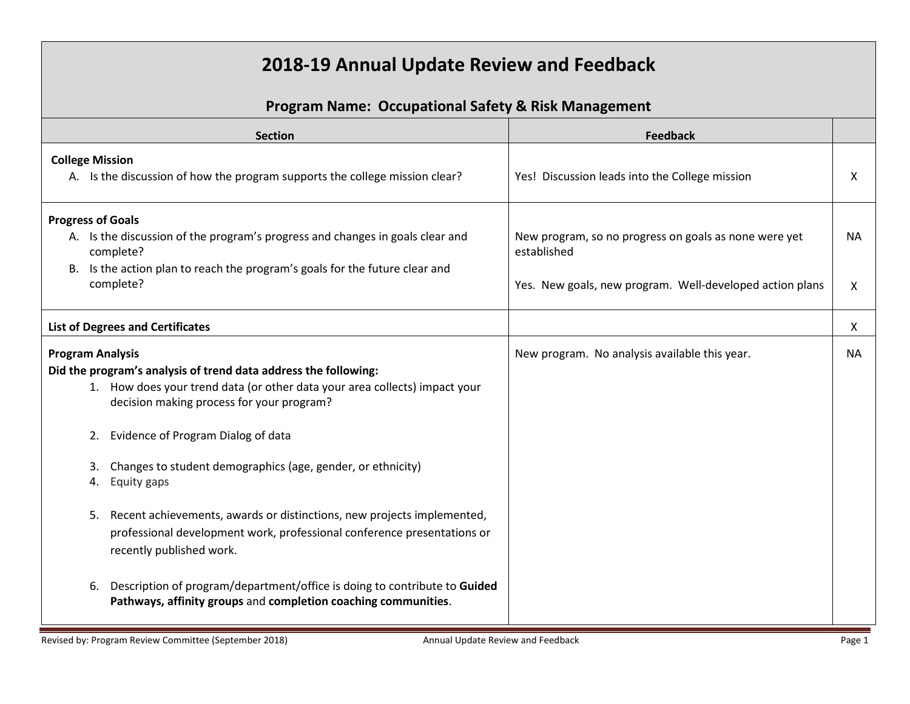## **2018-19 Annual Update Review and Feedback**

## **Program Name: Occupational Safety & Risk Management**

|                                                                                            | <b>Section</b>                                                                                                                                                                      | <b>Feedback</b>                                                      |           |  |
|--------------------------------------------------------------------------------------------|-------------------------------------------------------------------------------------------------------------------------------------------------------------------------------------|----------------------------------------------------------------------|-----------|--|
|                                                                                            | <b>College Mission</b><br>A. Is the discussion of how the program supports the college mission clear?                                                                               | Yes! Discussion leads into the College mission                       | X.        |  |
|                                                                                            | <b>Progress of Goals</b>                                                                                                                                                            |                                                                      |           |  |
|                                                                                            | A. Is the discussion of the program's progress and changes in goals clear and<br>complete?                                                                                          | New program, so no progress on goals as none were yet<br>established | <b>NA</b> |  |
|                                                                                            | B. Is the action plan to reach the program's goals for the future clear and<br>complete?                                                                                            | Yes. New goals, new program. Well-developed action plans             | X.        |  |
|                                                                                            | <b>List of Degrees and Certificates</b>                                                                                                                                             |                                                                      | X         |  |
| <b>Program Analysis</b><br>Did the program's analysis of trend data address the following: |                                                                                                                                                                                     | New program. No analysis available this year.                        | <b>NA</b> |  |
|                                                                                            | 1. How does your trend data (or other data your area collects) impact your<br>decision making process for your program?                                                             |                                                                      |           |  |
|                                                                                            | Evidence of Program Dialog of data<br>2.                                                                                                                                            |                                                                      |           |  |
|                                                                                            | Changes to student demographics (age, gender, or ethnicity)<br>3.<br>Equity gaps<br>4.                                                                                              |                                                                      |           |  |
|                                                                                            | Recent achievements, awards or distinctions, new projects implemented,<br>5.<br>professional development work, professional conference presentations or<br>recently published work. |                                                                      |           |  |
|                                                                                            | Description of program/department/office is doing to contribute to Guided<br>6.<br>Pathways, affinity groups and completion coaching communities.                                   |                                                                      |           |  |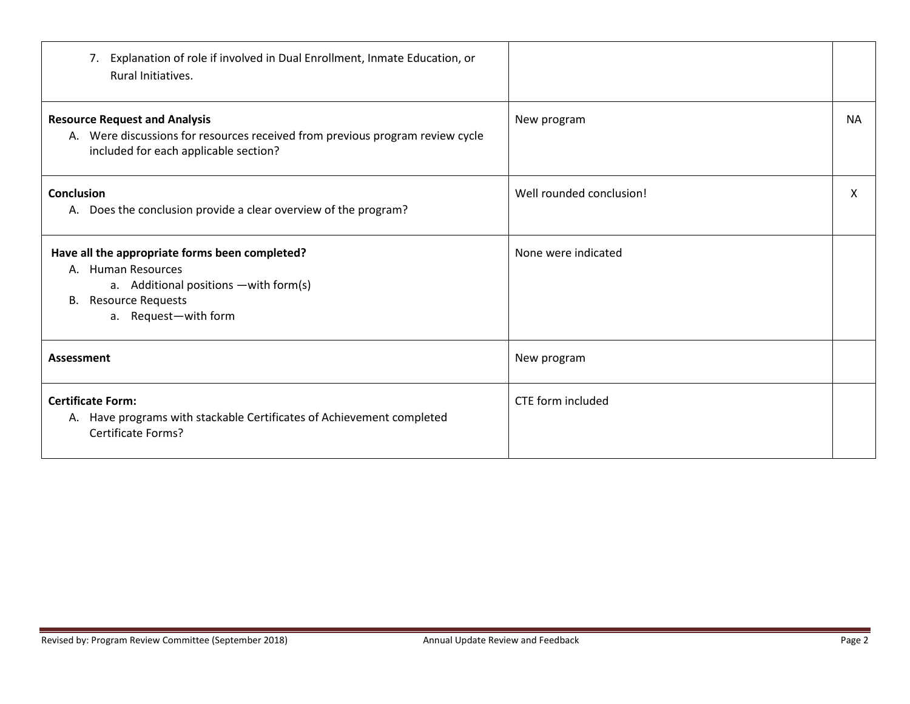| 7. Explanation of role if involved in Dual Enrollment, Inmate Education, or<br>Rural Initiatives.                                                                     |                          |           |
|-----------------------------------------------------------------------------------------------------------------------------------------------------------------------|--------------------------|-----------|
| <b>Resource Request and Analysis</b><br>A. Were discussions for resources received from previous program review cycle<br>included for each applicable section?        | New program              | <b>NA</b> |
| <b>Conclusion</b><br>A. Does the conclusion provide a clear overview of the program?                                                                                  | Well rounded conclusion! | X         |
| Have all the appropriate forms been completed?<br>A. Human Resources<br>a. Additional positions - with form(s)<br><b>B.</b> Resource Requests<br>a. Request-with form | None were indicated      |           |
| <b>Assessment</b>                                                                                                                                                     | New program              |           |
| <b>Certificate Form:</b><br>A. Have programs with stackable Certificates of Achievement completed<br>Certificate Forms?                                               | CTE form included        |           |